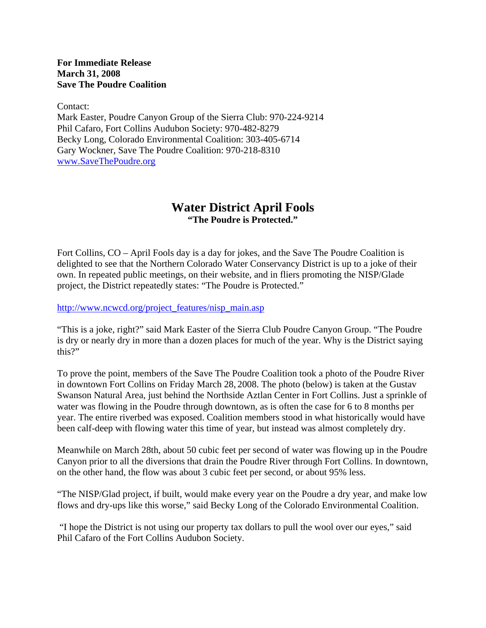**For Immediate Release March 31, 2008 Save The Poudre Coalition**

Contact:

Mark Easter, Poudre Canyon Group of the Sierra Club: 970-224-9214 Phil Cafaro, Fort Collins Audubon Society: 970-482-8279 Becky Long, Colorado Environmental Coalition: 303-405-6714 Gary Wockner, Save The Poudre Coalition: 970-218-8310 www.SaveThePoudre.org

## **Water District April Fools "The Poudre is Protected."**

Fort Collins, CO – April Fools day is a day for jokes, and the Save The Poudre Coalition is delighted to see that the Northern Colorado Water Conservancy District is up to a joke of their own. In repeated public meetings, on their website, and in fliers promoting the NISP/Glade project, the District repeatedly states: "The Poudre is Protected."

http://www.ncwcd.org/project\_features/nisp\_main.asp

"This is a joke, right?" said Mark Easter of the Sierra Club Poudre Canyon Group. "The Poudre is dry or nearly dry in more than a dozen places for much of the year. Why is the District saying this?"

To prove the point, members of the Save The Poudre Coalition took a photo of the Poudre River in downtown Fort Collins on Friday March 28, 2008. The photo (below) is taken at the Gustav Swanson Natural Area, just behind the Northside Aztlan Center in Fort Collins. Just a sprinkle of water was flowing in the Poudre through downtown, as is often the case for 6 to 8 months per year. The entire riverbed was exposed. Coalition members stood in what historically would have been calf-deep with flowing water this time of year, but instead was almost completely dry.

Meanwhile on March 28th, about 50 cubic feet per second of water was flowing up in the Poudre Canyon prior to all the diversions that drain the Poudre River through Fort Collins. In downtown, on the other hand, the flow was about 3 cubic feet per second, or about 95% less.

"The NISP/Glad project, if built, would make every year on the Poudre a dry year, and make low flows and dry-ups like this worse," said Becky Long of the Colorado Environmental Coalition.

 "I hope the District is not using our property tax dollars to pull the wool over our eyes," said Phil Cafaro of the Fort Collins Audubon Society.